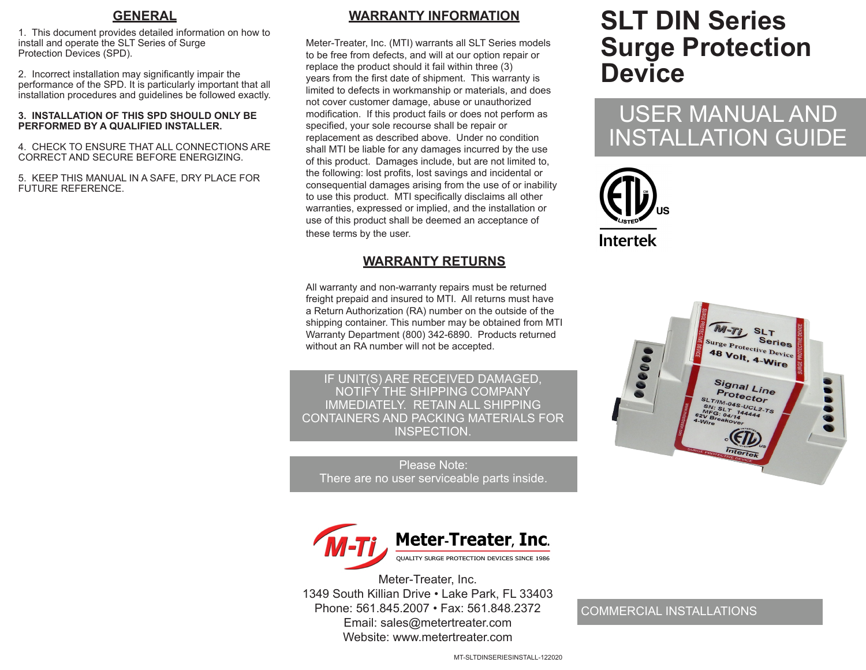#### **GENERAL**

1. This document provides detailed information on how to install and operate the SLT Series of Surge Protection Devices (SPD).

2. Incorrect installation may significantly impair the performance of the SPD. It is particularly important that all installation procedures and guidelines be followed exactly.

#### **3. INSTALLATION OF THIS SPD SHOULD ONLY BE PERFORMED BY A QUALIFIED INSTALLER.**

4. CHECK TO ENSURE THAT ALL CONNECTIONS ARE CORRECT AND SECURE BEFORE ENERGIZING.

5. KEEP THIS MANUAL IN A SAFE, DRY PLACE FOR FUTURE REFERENCE.

#### **WARRANTY INFORMATION**

Meter-Treater, Inc. (MTI) warrants all SLT Series models to be free from defects, and will at our option repair or replace the product should it fail within three (3) years from the first date of shipment. This warranty is limited to defects in workmanship or materials, and does not cover customer damage, abuse or unauthorized modification. If this product fails or does not perform as specified, your sole recourse shall be repair or replacement as described above. Under no condition shall MTI be liable for any damages incurred by the use of this product. Damages include, but are not limited to, the following: lost profits, lost savings and incidental or consequential damages arising from the use of or inability to use this product. MTI specifically disclaims all other warranties, expressed or implied, and the installation or use of this product shall be deemed an acceptance of these terms by the user.

#### **WARRANTY RETURNS**

All warranty and non-warranty repairs must be returned freight prepaid and insured to MTI. All returns must have a Return Authorization (RA) number on the outside of the shipping container. This number may be obtained from MTI Warranty Department (800) 342-6890. Products returned without an RA number will not be accepted.

IF UNIT(S) ARE RECEIVED DAMAGED, NOTIFY THE SHIPPING COMPANY IMMEDIATELY. RETAIN ALL SHIPPING CONTAINERS AND PACKING MATERIALS FOR INSPECTION.

Please Note: There are no user serviceable parts inside.



Meter-Treater, Inc. 1349 South Killian Drive • Lake Park, FL 33403 Phone: 561.845.2007 • Fax: 561.848.2372 Email: sales@metertreater.com Website: www.metertreater.com

# **SLT DIN Series Surge Protection Device**

## USER MANUAL AND INSTALLATION GUIDE





#### COMMERCIAL INSTALLATIONS